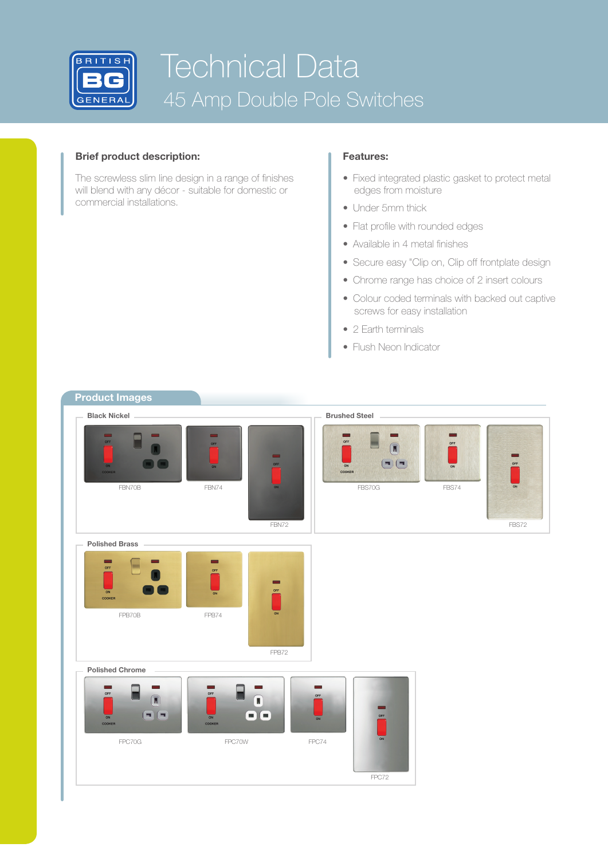

# Technical Data 45 Amp Double Pole Switches

## **Brief product description: Features:**

The screwless slim line design in a range of finishes will blend with any décor - suitable for domestic or commercial installations.

- Fixed integrated plastic gasket to protect metal edges from moisture
- Under 5mm thick
- Flat profile with rounded edges
- Available in 4 metal finishes
- Secure easy "Clip on, Clip off frontplate design
- Chrome range has choice of 2 insert colours
- Colour coded terminals with backed out captive screws for easy installation
- 2 Earth terminals
- Flush Neon Indicator

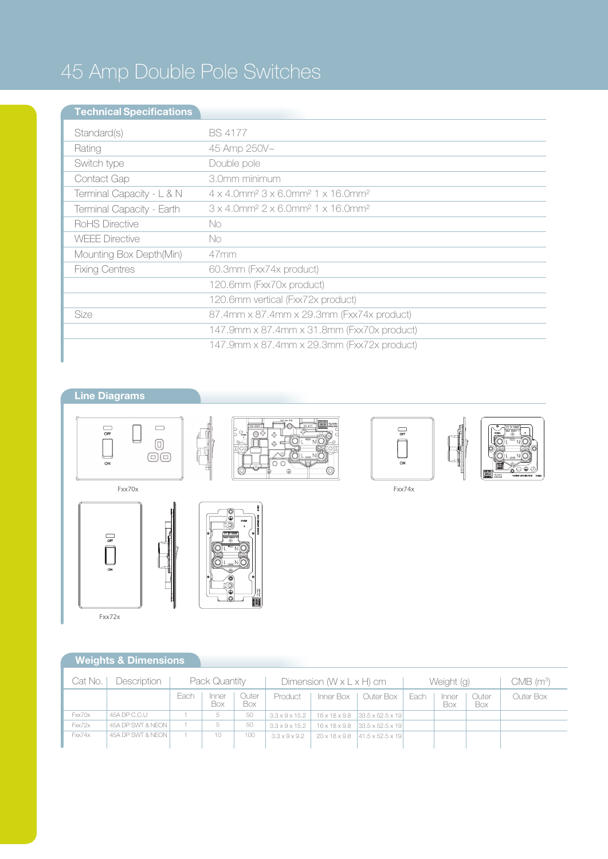# 45 Amp Double Pole Switches

## **Technical Specifications**

| Standard(s)               | <b>BS 4177</b>                                                                                |
|---------------------------|-----------------------------------------------------------------------------------------------|
| Rating                    | 45 Amp 250V~                                                                                  |
| Switch type               | Double pole                                                                                   |
| Contact Gap               | 3.0mm minimum                                                                                 |
| Terminal Capacity - L & N | $4 \times 4.0$ mm <sup>2</sup> $3 \times 6.0$ mm <sup>2</sup> $1 \times 16.0$ mm <sup>2</sup> |
| Terminal Capacity - Earth | $3 \times 4.0$ mm <sup>2</sup> $2 \times 6.0$ mm <sup>2</sup> 1 $\times$ 16.0mm <sup>2</sup>  |
| RoHS Directive            | No.                                                                                           |
| <b>WEEE Directive</b>     | No.                                                                                           |
| Mounting Box Depth(Min)   | $47$ mm                                                                                       |
| <b>Fixing Centres</b>     | 60.3mm (Fxx74x product)                                                                       |
|                           | 120.6mm (Fxx70x product)                                                                      |
|                           | 120.6mm vertical (Fxx72x product)                                                             |
| Size                      | 87.4mm x 87.4mm x 29.3mm (Fxx74x product)                                                     |
|                           | 147.9mm x 87.4mm x 31.8mm (Fxx70x product)                                                    |
|                           | 147.9mm x 87.4mm x 29.3mm (Fxx72x product)                                                    |

## **Line Diagrams**







## **Weights & Dimensions**

| Cat No. | Description       | Pack Quantity |              |              | Dimension $(W \times L \times H)$ cm |  |                                                          | Weight (g) |              |              | CMB (m <sup>3</sup> ) |
|---------|-------------------|---------------|--------------|--------------|--------------------------------------|--|----------------------------------------------------------|------------|--------------|--------------|-----------------------|
|         |                   | Each          | Inner<br>Box | Outer<br>Box | Product                              |  | Inner Box   Outer Box                                    | Each       | Inner<br>Box | Outer<br>Box | Outer Box             |
| Fxx70x  | 45A DP C.C.U      |               |              | -50          | $3.3 \times 9 \times 15.2$           |  | $16 \times 18 \times 9.8$ 33.5 $\times$ 52.5 $\times$ 19 |            |              |              |                       |
| Fxx72x  | 45A DP SWT & NEON |               |              | 50           | $3.3 \times 9 \times 15.2$           |  | $16 \times 18 \times 9.8$ 33.5 $\times$ 52.5 $\times$ 19 |            |              |              |                       |
| Fxx74x  | 45A DP SWT & NEON |               | $10 -$       | 100          | $3.3 \times 9 \times 9.2$            |  | 20 x 18 x 9.8 41.5 x 52.5 x 19                           |            |              |              |                       |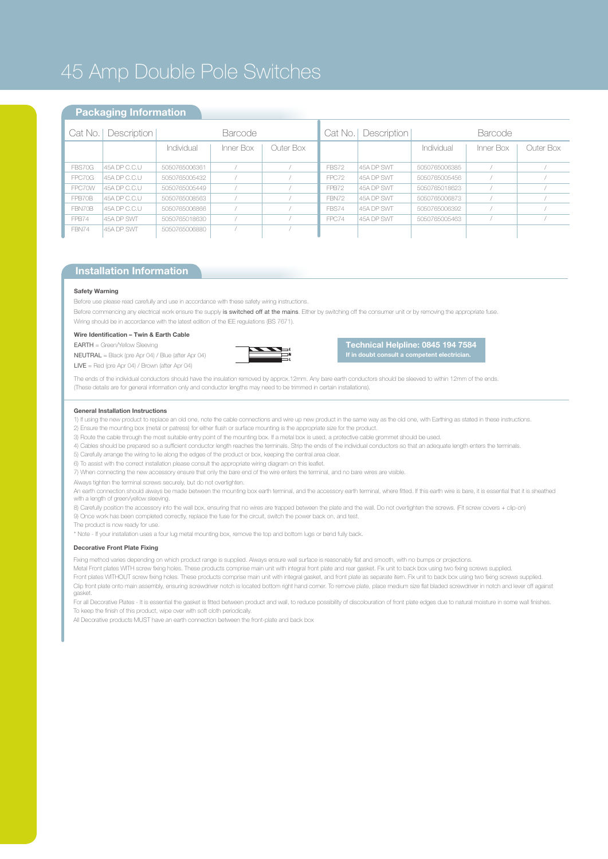## 45 Amp Double Pole Switches

### **Packaging Information**

|        | Cat No.   Description | <b>Barcode</b> |           |           |              | Cat No.   Description | <b>Barcode</b> |           |           |  |
|--------|-----------------------|----------------|-----------|-----------|--------------|-----------------------|----------------|-----------|-----------|--|
|        |                       | Individual     | Inner Box | Outer Box |              |                       | Individual     | Inner Box | Outer Box |  |
|        |                       |                |           |           |              |                       |                |           |           |  |
| FBS70G | 45A DP C.C.U          | 5050765006361  |           |           | FBS72        | 45A DP SWT            | 5050765006385  |           |           |  |
| FPC70G | 45A DP C.C.U          | 5050765005432  |           |           | FPC72        | 45A DP SWT            | 5050765005456  |           |           |  |
| FPC70W | 45A DP C.C.U          | 5050765005449  |           |           | FPB72        | 45A DP SWT            | 5050765018623  |           |           |  |
| FPB70B | 45A DP C.C.U          | 5050765008563  |           |           | <b>FBN72</b> | 45A DP SWT            | 5050765006873  |           |           |  |
| FBN70B | 45A DP C.C.U          | 5050765006866  |           |           | FBS74        | 45A DP SWT            | 5050765006392  |           |           |  |
| FPB74  | 45A DP SWT            | 5050765018630  |           |           | FPC74        | 45A DP SWT            | 5050765005463  |           |           |  |
| FBN74  | 45A DP SWT            | 5050765006880  |           |           |              |                       |                |           |           |  |
|        |                       |                |           |           |              |                       |                |           |           |  |

## **Installation Information**

#### **Safety Warning**

Before use please read carefully and use in accordance with these safety wiring instructions.

Before commencing any electrical work ensure the supply is switched off at the mains. Either by switching off the consumer unit or by removing the appropriate fuse. Wiring should be in accordance with the latest edition of the IEE regulations (BS 7671).

#### **Wire Identification – Twin & Earth Cable**

EARTH = Green/Yellow Sleeving

NEUTRAL = Black (pre Apr 04) / Blue (after Apr 04)

LIVE = Red (pre Apr 04) / Brown (after Apr 04)



**Technical Helpline: 0845 194 7584 If in doubt consult a competent electrician.**

The ends of the individual conductors should have the insulation removed by approx.12mm. Any bare earth conductors should be sleeved to within 12mm of the ends. (These details are for general information only and conductor lengths may need to be trimmed in certain installations).

#### **General Installation Instructions**

- 1) If using the new product to replace an old one, note the cable connections and wire up new product in the same way as the old one, with Earthing as stated in these instructions.
- 2) Ensure the mounting box (metal or patress) for either flush or surface mounting is the appropriate size for the product.
- 3) Route the cable through the most suitable entry point of the mounting box. If a metal box is used, a protective cable grommet should be used.
- 4) Cables should be prepared so a sufficient conductor length reaches the terminals. Strip the ends of the individual conductors so that an adequate length enters the terminals.
- 5) Carefully arrange the wiring to lie along the edges of the product or box, keeping the central area clear.
- 6) To assist with the correct installation please consult the appropriate wiring diagram on this leaflet.
- 7) When connecting the new accessory ensure that only the bare end of the wire enters the terminal, and no bare wires are visible.
- Always tighten the terminal screws securely, but do not overtighten.
- An earth connection should always be made between the mounting box earth terminal, and the accessory earth terminal, where fitted. If this earth wire is bare, it is essential that it is sheathed with a length of green/yellow sleeving.
- 8) Carefully position the accessory into the wall box, ensuring that no wires are trapped between the plate and the wall. Do not overtighten the screws. (Fit screw covers + clip-on)
- 9) Once work has been completed correctly, replace the fuse for the circuit, switch the power back on, and test. The product is now ready for use.
- \* Note If your installation uses a four lug metal mounting box, remove the top and bottom lugs or bend fully back.

#### **Decorative Front Plate Fixing**

Fixing method varies depending on which product range is supplied. Always ensure wall surface is reasonably flat and smooth, with no bumps or projections.

Metal Front plates WITH screw fixing holes. These products comprise main unit with integral front plate and rear gasket. Fix unit to back box using two fixing screws supplied.

Front plates WITHOUT screw fixing holes. These products comprise main unit with integral gasket, and front plate as separate item. Fix unit to back box using two fixing screws supplied. Clip front plate onto main assembly, ensuring screwdriver notch is located bottom right hand corner. To remove plate, place medium size flat bladed screwdriver in notch and lever off against gasket.

For all Decorative Plates - It is essential the gasket is fitted between product and wall, to reduce possibility of discolouration of front plate edges due to natural moisture in some wall finishes. To keep the finish of this product, wipe over with soft cloth periodically.

All Decorative products MUST have an earth connection between the front-plate and back box